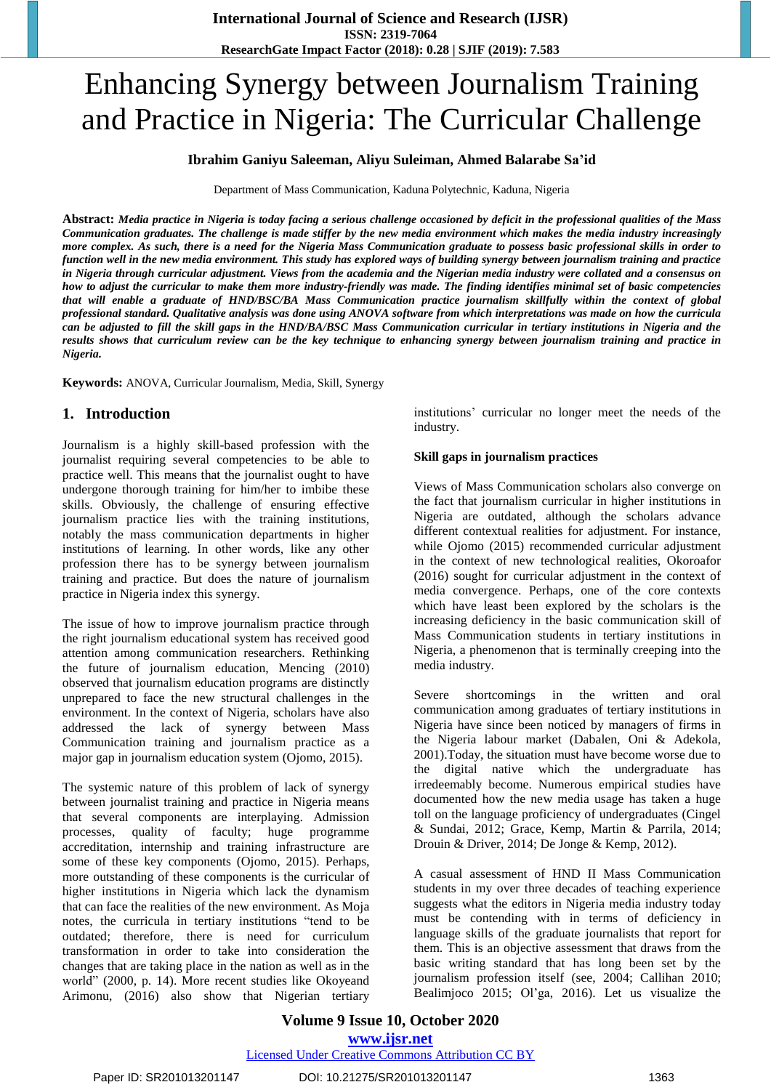# Enhancing Synergy between Journalism Training and Practice in Nigeria: The Curricular Challenge

# **Ibrahim Ganiyu Saleeman, Aliyu Suleiman, Ahmed Balarabe Sa'id**

Department of Mass Communication, Kaduna Polytechnic, Kaduna, Nigeria

Abstract: Media practice in Nigeria is today facing a serious challenge occasioned by deficit in the professional qualities of the Mass Communication graduates. The challenge is made stiffer by the new media environment which makes the media industry increasingly more complex. As such, there is a need for the Nigeria Mass Communication graduate to possess basic professional skills in order to function well in the new media environment. This study has explored ways of building synergy between journalism training and practice in Nigeria through curricular adjustment. Views from the academia and the Nigerian media industry were collated and a consensus on how to adjust the curricular to make them more industry-friendly was made. The finding identifies minimal set of basic competencies that will enable a graduate of HND/BSC/BA Mass Communication practice journalism skillfully within the context of global professional standard. Qualitative analysis was done using ANOVA software from which interpretations was made on how the curricula can be adjusted to fill the skill gaps in the HND/BA/BSC Mass Communication curricular in tertiary institutions in Nigeria and the results shows that curriculum review can be the key technique to enhancing synergy between journalism training and practice in *Nigeria.*

**Keywords:** ANOVA, Curricular Journalism, Media, Skill, Synergy

# **1. Introduction**

Journalism is a highly skill-based profession with the journalist requiring several competencies to be able to practice well. This means that the journalist ought to have undergone thorough training for him/her to imbibe these skills. Obviously, the challenge of ensuring effective journalism practice lies with the training institutions, notably the mass communication departments in higher institutions of learning. In other words, like any other profession there has to be synergy between journalism training and practice. But does the nature of journalism practice in Nigeria index this synergy.

The issue of how to improve journalism practice through the right journalism educational system has received good attention among communication researchers. Rethinking the future of journalism education, Mencing (2010) observed that journalism education programs are distinctly unprepared to face the new structural challenges in the environment. In the context of Nigeria, scholars have also addressed the lack of synergy between Mass Communication training and journalism practice as a major gap in journalism education system (Ojomo, 2015).

The systemic nature of this problem of lack of synergy between journalist training and practice in Nigeria means that several components are interplaying. Admission processes, quality of faculty; huge programme accreditation, internship and training infrastructure are some of these key components (Ojomo, 2015). Perhaps, more outstanding of these components is the curricular of higher institutions in Nigeria which lack the dynamism that can face the realities of the new environment. As Moja notes, the curricula in tertiary institutions "tend to be outdated; therefore, there is need for curriculum transformation in order to take into consideration the changes that are taking place in the nation as well as in the world" (2000, p. 14). More recent studies like Okoyeand Arimonu, (2016) also show that Nigerian tertiary

institutions' curricular no longer meet the needs of the industry.

#### **Skill gaps in journalism practices**

Views of Mass Communication scholars also converge on the fact that journalism curricular in higher institutions in Nigeria are outdated, although the scholars advance different contextual realities for adjustment. For instance, while Ojomo (2015) recommended curricular adjustment in the context of new technological realities, Okoroafor (2016) sought for curricular adjustment in the context of media convergence. Perhaps, one of the core contexts which have least been explored by the scholars is the increasing deficiency in the basic communication skill of Mass Communication students in tertiary institutions in Nigeria, a phenomenon that is terminally creeping into the media industry.

Severe shortcomings in the written and oral communication among graduates of tertiary institutions in Nigeria have since been noticed by managers of firms in the Nigeria labour market (Dabalen, Oni & Adekola, 2001).Today, the situation must have become worse due to the digital native which the undergraduate has irredeemably become. Numerous empirical studies have documented how the new media usage has taken a huge toll on the language proficiency of undergraduates (Cingel & Sundai, 2012; Grace, Kemp, Martin & Parrila, 2014; Drouin & Driver, 2014; De Jonge & Kemp, 2012).

A casual assessment of HND II Mass Communication students in my over three decades of teaching experience suggests what the editors in Nigeria media industry today must be contending with in terms of deficiency in language skills of the graduate journalists that report for them. This is an objective assessment that draws from the basic writing standard that has long been set by the journalism profession itself (see, 2004; Callihan 2010; Bealimjoco 2015; Ol"ga, 2016). Let us visualize the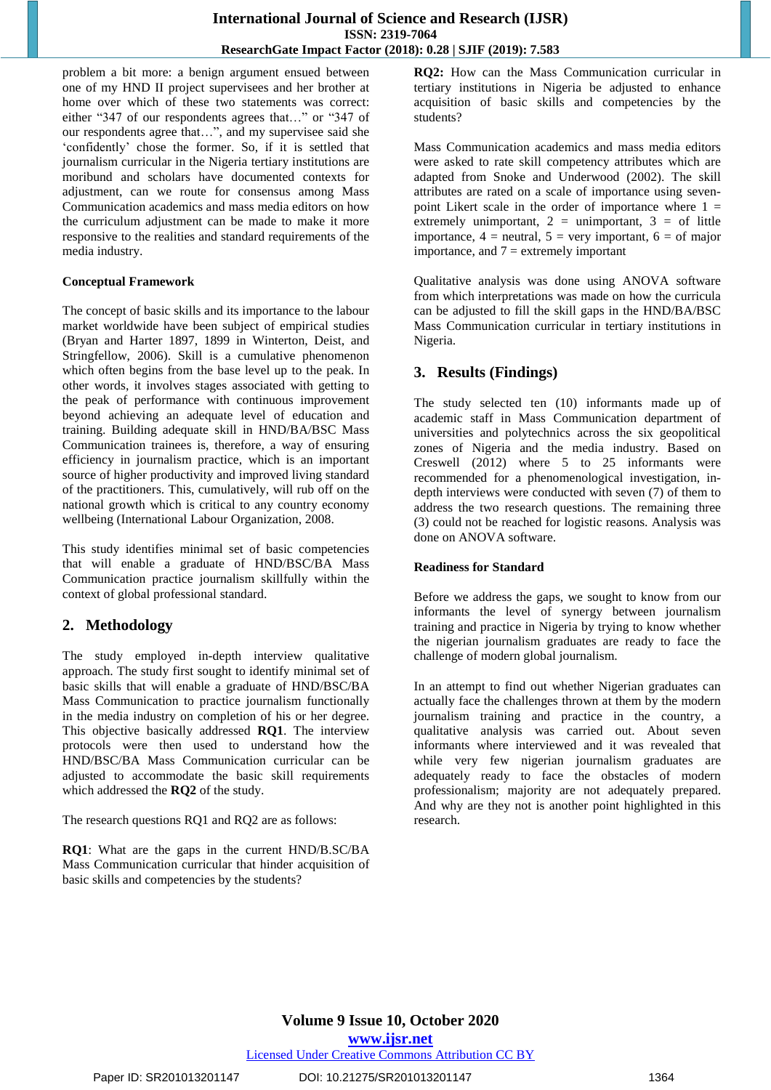problem a bit more: a benign argument ensued between one of my HND II project supervisees and her brother at home over which of these two statements was correct: either "347 of our respondents agrees that…" or "347 of our respondents agree that…", and my supervisee said she "confidently" chose the former. So, if it is settled that journalism curricular in the Nigeria tertiary institutions are moribund and scholars have documented contexts for adjustment, can we route for consensus among Mass Communication academics and mass media editors on how the curriculum adjustment can be made to make it more responsive to the realities and standard requirements of the media industry.

## **Conceptual Framework**

The concept of basic skills and its importance to the labour market worldwide have been subject of empirical studies (Bryan and Harter 1897, 1899 in Winterton, Deist, and Stringfellow, 2006). Skill is a cumulative phenomenon which often begins from the base level up to the peak. In other words, it involves stages associated with getting to the peak of performance with continuous improvement beyond achieving an adequate level of education and training. Building adequate skill in HND/BA/BSC Mass Communication trainees is, therefore, a way of ensuring efficiency in journalism practice, which is an important source of higher productivity and improved living standard of the practitioners. This, cumulatively, will rub off on the national growth which is critical to any country economy wellbeing (International Labour Organization, 2008.

This study identifies minimal set of basic competencies that will enable a graduate of HND/BSC/BA Mass Communication practice journalism skillfully within the context of global professional standard.

# **2. Methodology**

The study employed in-depth interview qualitative approach. The study first sought to identify minimal set of basic skills that will enable a graduate of HND/BSC/BA Mass Communication to practice journalism functionally in the media industry on completion of his or her degree. This objective basically addressed **RQ1**. The interview protocols were then used to understand how the HND/BSC/BA Mass Communication curricular can be adjusted to accommodate the basic skill requirements which addressed the **RQ2** of the study.

The research questions RQ1 and RQ2 are as follows:

**RQ1**: What are the gaps in the current HND/B.SC/BA Mass Communication curricular that hinder acquisition of basic skills and competencies by the students?

**RQ2:** How can the Mass Communication curricular in tertiary institutions in Nigeria be adjusted to enhance acquisition of basic skills and competencies by the students?

Mass Communication academics and mass media editors were asked to rate skill competency attributes which are adapted from Snoke and Underwood (2002). The skill attributes are rated on a scale of importance using sevenpoint Likert scale in the order of importance where  $1 =$ extremely unimportant,  $2 =$  unimportant,  $3 =$  of little importance,  $4$  = neutral,  $5$  = very important,  $6$  = of major importance, and  $7 =$  extremely important

Qualitative analysis was done using ANOVA software from which interpretations was made on how the curricula can be adjusted to fill the skill gaps in the HND/BA/BSC Mass Communication curricular in tertiary institutions in Nigeria.

# **3. Results (Findings)**

The study selected ten (10) informants made up of academic staff in Mass Communication department of universities and polytechnics across the six geopolitical zones of Nigeria and the media industry. Based on Creswell (2012) where 5 to 25 informants were recommended for a phenomenological investigation, indepth interviews were conducted with seven (7) of them to address the two research questions. The remaining three (3) could not be reached for logistic reasons. Analysis was done on ANOVA software.

# **Readiness for Standard**

Before we address the gaps, we sought to know from our informants the level of synergy between journalism training and practice in Nigeria by trying to know whether the nigerian journalism graduates are ready to face the challenge of modern global journalism.

In an attempt to find out whether Nigerian graduates can actually face the challenges thrown at them by the modern journalism training and practice in the country, a qualitative analysis was carried out. About seven informants where interviewed and it was revealed that while very few nigerian journalism graduates are adequately ready to face the obstacles of modern professionalism; majority are not adequately prepared. And why are they not is another point highlighted in this research.

**www.ijsr.net**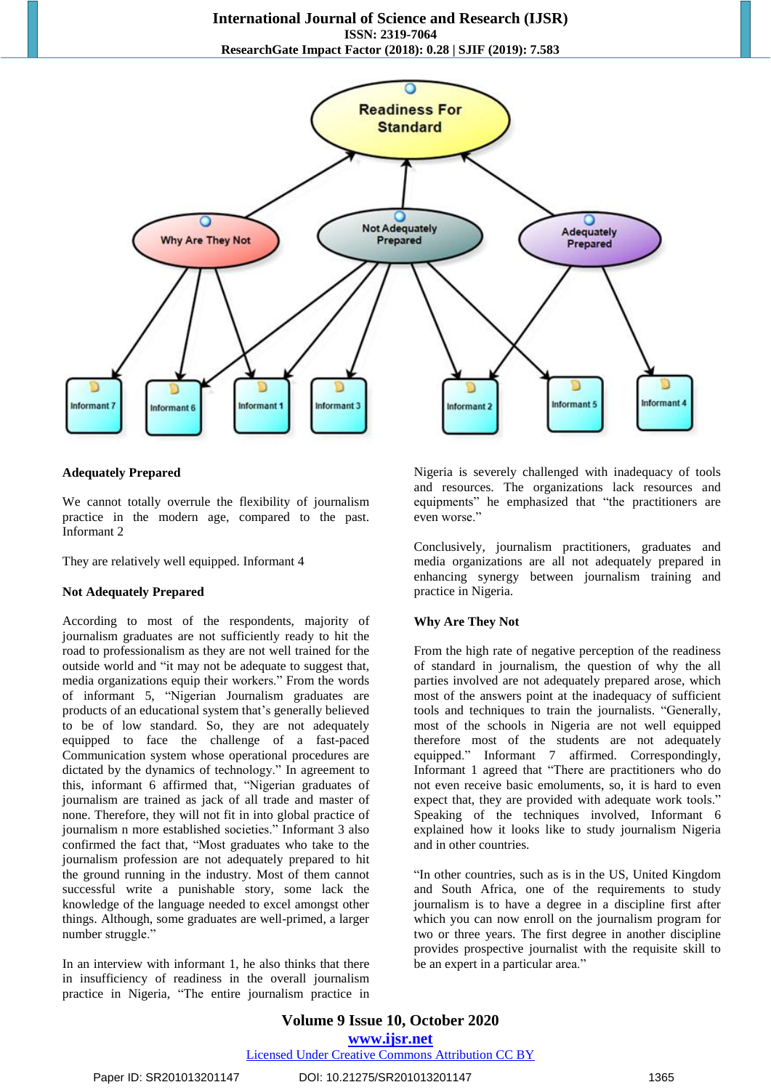

#### **Adequately Prepared**

We cannot totally overrule the flexibility of journalism practice in the modern age, compared to the past. Informant 2

They are relatively well equipped. Informant 4

#### **Not Adequately Prepared**

According to most of the respondents, majority of journalism graduates are not sufficiently ready to hit the road to professionalism as they are not well trained for the outside world and "it may not be adequate to suggest that, media organizations equip their workers." From the words of informant 5, "Nigerian Journalism graduates are products of an educational system that"s generally believed to be of low standard. So, they are not adequately equipped to face the challenge of a fast-paced Communication system whose operational procedures are dictated by the dynamics of technology." In agreement to this, informant 6 affirmed that, "Nigerian graduates of journalism are trained as jack of all trade and master of none. Therefore, they will not fit in into global practice of journalism n more established societies." Informant 3 also confirmed the fact that, "Most graduates who take to the journalism profession are not adequately prepared to hit the ground running in the industry. Most of them cannot successful write a punishable story, some lack the knowledge of the language needed to excel amongst other things. Although, some graduates are well-primed, a larger number struggle."

In an interview with informant 1, he also thinks that there in insufficiency of readiness in the overall journalism practice in Nigeria, "The entire journalism practice in

Nigeria is severely challenged with inadequacy of tools and resources. The organizations lack resources and equipments" he emphasized that "the practitioners are even worse."

Conclusively, journalism practitioners, graduates and media organizations are all not adequately prepared in enhancing synergy between journalism training and practice in Nigeria.

#### **Why Are They Not**

From the high rate of negative perception of the readiness of standard in journalism, the question of why the all parties involved are not adequately prepared arose, which most of the answers point at the inadequacy of sufficient tools and techniques to train the journalists. "Generally, most of the schools in Nigeria are not well equipped therefore most of the students are not adequately equipped." Informant 7 affirmed. Correspondingly, Informant 1 agreed that "There are practitioners who do not even receive basic emoluments, so, it is hard to even expect that, they are provided with adequate work tools." Speaking of the techniques involved, Informant 6 explained how it looks like to study journalism Nigeria and in other countries.

"In other countries, such as is in the US, United Kingdom and South Africa, one of the requirements to study journalism is to have a degree in a discipline first after which you can now enroll on the journalism program for two or three years. The first degree in another discipline provides prospective journalist with the requisite skill to be an expert in a particular area."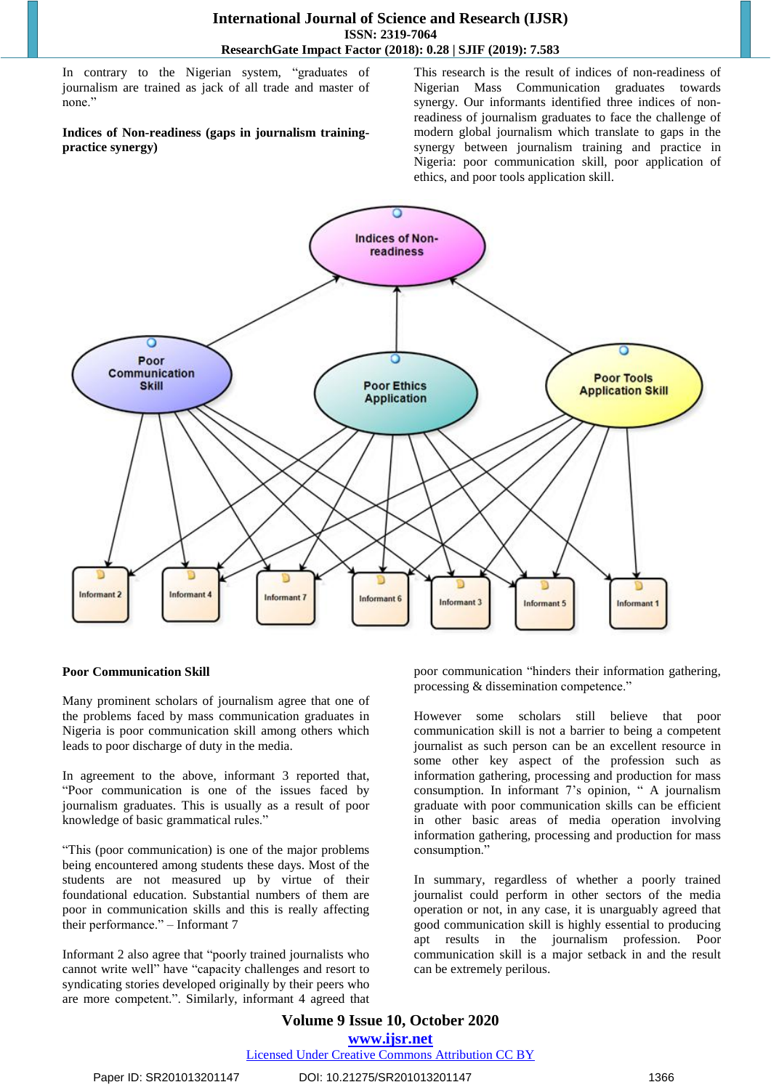In contrary to the Nigerian system, "graduates of journalism are trained as jack of all trade and master of none."

#### **Indices of Non-readiness (gaps in journalism trainingpractice synergy)**

This research is the result of indices of non-readiness of Nigerian Mass Communication graduates towards synergy. Our informants identified three indices of nonreadiness of journalism graduates to face the challenge of modern global journalism which translate to gaps in the synergy between journalism training and practice in Nigeria: poor communication skill, poor application of ethics, and poor tools application skill.



# **Poor Communication Skill**

Many prominent scholars of journalism agree that one of the problems faced by mass communication graduates in Nigeria is poor communication skill among others which leads to poor discharge of duty in the media.

In agreement to the above, informant 3 reported that, "Poor communication is one of the issues faced by journalism graduates. This is usually as a result of poor knowledge of basic grammatical rules."

"This (poor communication) is one of the major problems being encountered among students these days. Most of the students are not measured up by virtue of their foundational education. Substantial numbers of them are poor in communication skills and this is really affecting their performance." – Informant 7

Informant 2 also agree that "poorly trained journalists who cannot write well" have "capacity challenges and resort to syndicating stories developed originally by their peers who are more competent.". Similarly, informant 4 agreed that poor communication "hinders their information gathering, processing & dissemination competence."

However some scholars still believe that poor communication skill is not a barrier to being a competent journalist as such person can be an excellent resource in some other key aspect of the profession such as information gathering, processing and production for mass consumption. In informant 7"s opinion, " A journalism graduate with poor communication skills can be efficient in other basic areas of media operation involving information gathering, processing and production for mass consumption."

In summary, regardless of whether a poorly trained journalist could perform in other sectors of the media operation or not, in any case, it is unarguably agreed that good communication skill is highly essential to producing apt results in the journalism profession. Poor communication skill is a major setback in and the result can be extremely perilous.

**Volume 9 Issue 10, October 2020 www.ijsr.net** Licensed Under Creative Commons Attribution CC BY

Paper ID: SR201013201147 DOI: 10.21275/SR201013201147 1366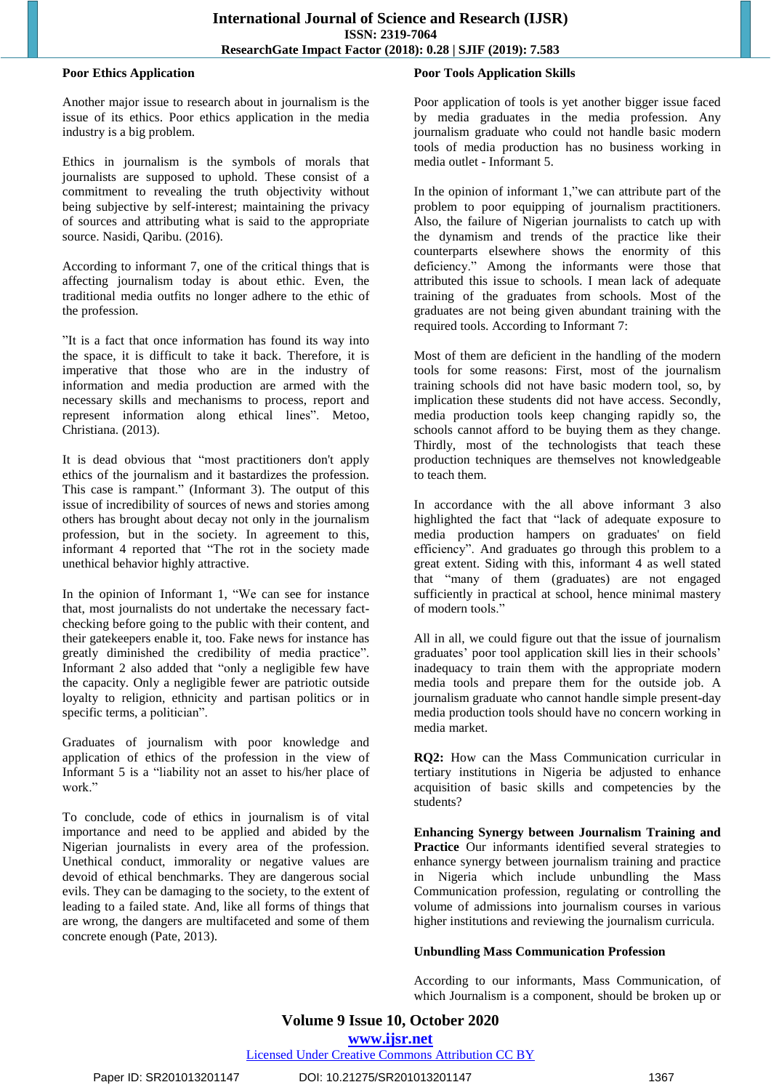#### **Poor Ethics Application**

Another major issue to research about in journalism is the issue of its ethics. Poor ethics application in the media industry is a big problem.

Ethics in journalism is the symbols of morals that journalists are supposed to uphold. These consist of a commitment to revealing the truth objectivity without being subjective by self-interest; maintaining the privacy of sources and attributing what is said to the appropriate source. Nasidi, Qaribu. (2016).

According to informant 7, one of the critical things that is affecting journalism today is about ethic. Even, the traditional media outfits no longer adhere to the ethic of the profession.

"It is a fact that once information has found its way into the space, it is difficult to take it back. Therefore, it is imperative that those who are in the industry of information and media production are armed with the necessary skills and mechanisms to process, report and represent information along ethical lines". Metoo, Christiana. (2013).

It is dead obvious that "most practitioners don't apply ethics of the journalism and it bastardizes the profession. This case is rampant." (Informant 3). The output of this issue of incredibility of sources of news and stories among others has brought about decay not only in the journalism profession, but in the society. In agreement to this, informant 4 reported that "The rot in the society made unethical behavior highly attractive.

In the opinion of Informant 1, "We can see for instance that, most journalists do not undertake the necessary factchecking before going to the public with their content, and their gatekeepers enable it, too. Fake news for instance has greatly diminished the credibility of media practice". Informant 2 also added that "only a negligible few have the capacity. Only a negligible fewer are patriotic outside loyalty to religion, ethnicity and partisan politics or in specific terms, a politician".

Graduates of journalism with poor knowledge and application of ethics of the profession in the view of Informant 5 is a "liability not an asset to his/her place of work."

To conclude, code of ethics in journalism is of vital importance and need to be applied and abided by the Nigerian journalists in every area of the profession. Unethical conduct, immorality or negative values are devoid of ethical benchmarks. They are dangerous social evils. They can be damaging to the society, to the extent of leading to a failed state. And, like all forms of things that are wrong, the dangers are multifaceted and some of them concrete enough (Pate, 2013).

## **Poor Tools Application Skills**

Poor application of tools is yet another bigger issue faced by media graduates in the media profession. Any journalism graduate who could not handle basic modern tools of media production has no business working in media outlet - Informant 5.

In the opinion of informant 1,"we can attribute part of the problem to poor equipping of journalism practitioners. Also, the failure of Nigerian journalists to catch up with the dynamism and trends of the practice like their counterparts elsewhere shows the enormity of this deficiency." Among the informants were those that attributed this issue to schools. I mean lack of adequate training of the graduates from schools. Most of the graduates are not being given abundant training with the required tools. According to Informant 7:

Most of them are deficient in the handling of the modern tools for some reasons: First, most of the journalism training schools did not have basic modern tool, so, by implication these students did not have access. Secondly, media production tools keep changing rapidly so, the schools cannot afford to be buying them as they change. Thirdly, most of the technologists that teach these production techniques are themselves not knowledgeable to teach them.

In accordance with the all above informant 3 also highlighted the fact that "lack of adequate exposure to media production hampers on graduates' on field efficiency". And graduates go through this problem to a great extent. Siding with this, informant 4 as well stated that "many of them (graduates) are not engaged sufficiently in practical at school, hence minimal mastery of modern tools."

All in all, we could figure out that the issue of journalism graduates' poor tool application skill lies in their schools' inadequacy to train them with the appropriate modern media tools and prepare them for the outside job. A journalism graduate who cannot handle simple present-day media production tools should have no concern working in media market.

**RQ2:** How can the Mass Communication curricular in tertiary institutions in Nigeria be adjusted to enhance acquisition of basic skills and competencies by the students?

**Enhancing Synergy between Journalism Training and Practice** Our informants identified several strategies to enhance synergy between journalism training and practice in Nigeria which include unbundling the Mass Communication profession, regulating or controlling the volume of admissions into journalism courses in various higher institutions and reviewing the journalism curricula.

#### **Unbundling Mass Communication Profession**

According to our informants, Mass Communication, of which Journalism is a component, should be broken up or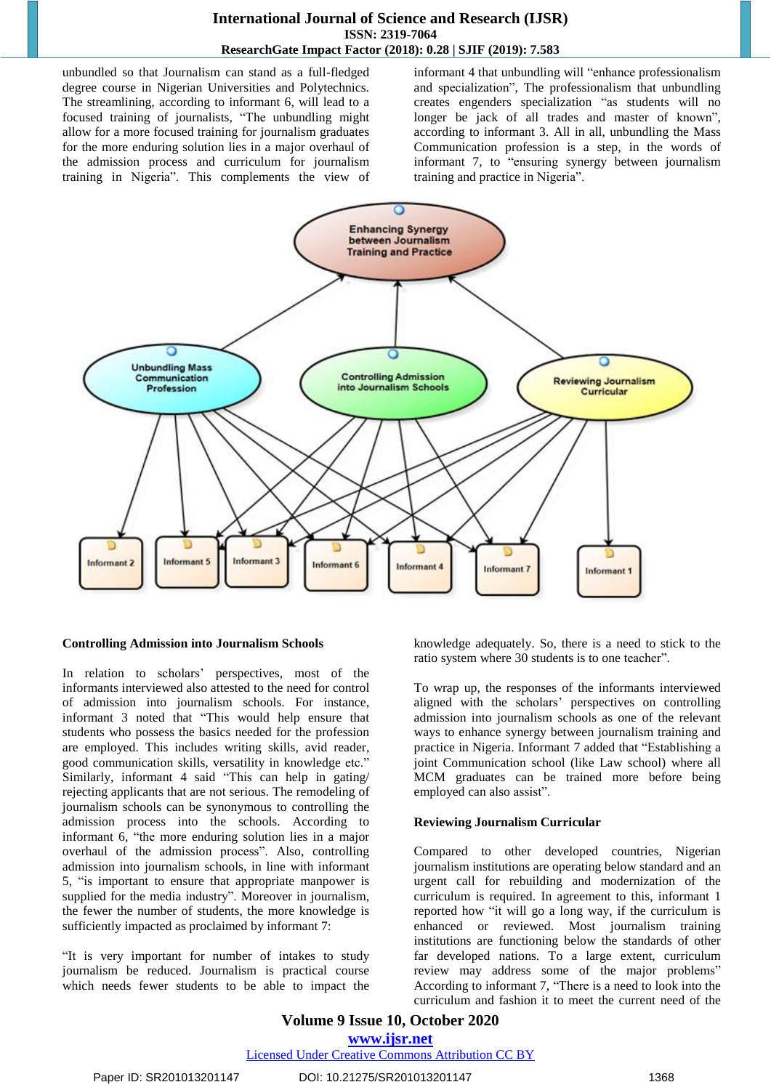# **International Journal of Science and Research (IJSR) ISSN: 2319-7064 ResearchGate Impact Factor (2018): 0.28 | SJIF (2019): 7.583**

unbundled so that Journalism can stand as a full-fledged degree course in Nigerian Universities and Polytechnics. The streamlining, according to informant 6, will lead to a focused training of journalists, "The unbundling might allow for a more focused training for journalism graduates for the more enduring solution lies in a major overhaul of the admission process and curriculum for journalism training in Nigeria". This complements the view of informant 4 that unbundling will "enhance professionalism and specialization", The professionalism that unbundling creates engenders specialization "as students will no longer be jack of all trades and master of known", according to informant 3. All in all, unbundling the Mass Communication profession is a step, in the words of informant 7, to "ensuring synergy between journalism training and practice in Nigeria".



#### **Controlling Admission into Journalism Schools**

In relation to scholars" perspectives, most of the informants interviewed also attested to the need for control of admission into journalism schools. For instance, informant 3 noted that "This would help ensure that students who possess the basics needed for the profession are employed. This includes writing skills, avid reader, good communication skills, versatility in knowledge etc." Similarly, informant 4 said "This can help in gating/ rejecting applicants that are not serious. The remodeling of journalism schools can be synonymous to controlling the admission process into the schools. According to informant 6, "the more enduring solution lies in a major overhaul of the admission process". Also, controlling admission into journalism schools, in line with informant 5, "is important to ensure that appropriate manpower is supplied for the media industry". Moreover in journalism, the fewer the number of students, the more knowledge is sufficiently impacted as proclaimed by informant 7:

"It is very important for number of intakes to study journalism be reduced. Journalism is practical course which needs fewer students to be able to impact the

knowledge adequately. So, there is a need to stick to the ratio system where 30 students is to one teacher".

To wrap up, the responses of the informants interviewed aligned with the scholars" perspectives on controlling admission into journalism schools as one of the relevant ways to enhance synergy between journalism training and practice in Nigeria. Informant 7 added that "Establishing a joint Communication school (like Law school) where all MCM graduates can be trained more before being employed can also assist".

#### **Reviewing Journalism Curricular**

Compared to other developed countries, Nigerian journalism institutions are operating below standard and an urgent call for rebuilding and modernization of the curriculum is required. In agreement to this, informant 1 reported how "it will go a long way, if the curriculum is enhanced or reviewed. Most journalism training institutions are functioning below the standards of other far developed nations. To a large extent, curriculum review may address some of the major problems" According to informant 7, "There is a need to look into the curriculum and fashion it to meet the current need of the

**Volume 9 Issue 10, October 2020 www.ijsr.net** Licensed Under Creative Commons Attribution CC BY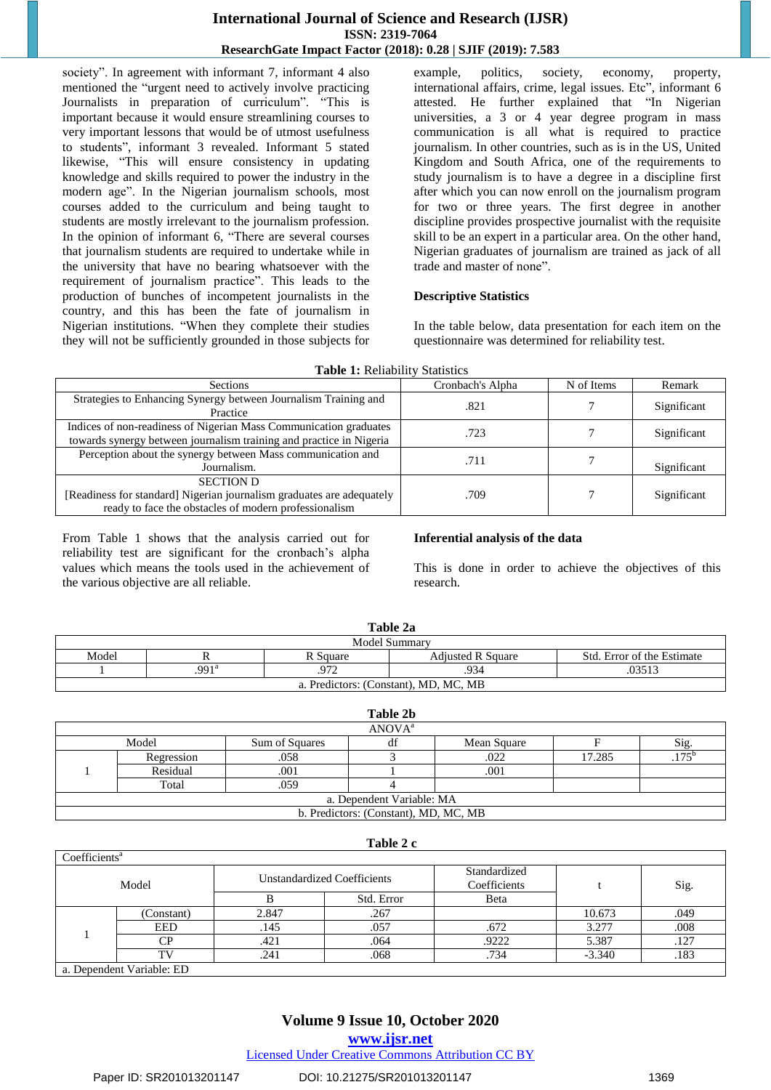# **International Journal of Science and Research (IJSR) ISSN: 2319-7064 ResearchGate Impact Factor (2018): 0.28 | SJIF (2019): 7.583**

society". In agreement with informant 7, informant 4 also mentioned the "urgent need to actively involve practicing Journalists in preparation of curriculum". "This is important because it would ensure streamlining courses to very important lessons that would be of utmost usefulness to students", informant 3 revealed. Informant 5 stated likewise, "This will ensure consistency in updating knowledge and skills required to power the industry in the modern age". In the Nigerian journalism schools, most courses added to the curriculum and being taught to students are mostly irrelevant to the journalism profession. In the opinion of informant 6, "There are several courses that journalism students are required to undertake while in the university that have no bearing whatsoever with the requirement of journalism practice". This leads to the production of bunches of incompetent journalists in the country, and this has been the fate of journalism in Nigerian institutions. "When they complete their studies they will not be sufficiently grounded in those subjects for

example, politics, society, economy, property, international affairs, crime, legal issues. Etc", informant 6 attested. He further explained that "In Nigerian universities, a 3 or 4 year degree program in mass communication is all what is required to practice journalism. In other countries, such as is in the US, United Kingdom and South Africa, one of the requirements to study journalism is to have a degree in a discipline first after which you can now enroll on the journalism program for two or three years. The first degree in another discipline provides prospective journalist with the requisite skill to be an expert in a particular area. On the other hand, Nigerian graduates of journalism are trained as jack of all trade and master of none".

#### **Descriptive Statistics**

In the table below, data presentation for each item on the questionnaire was determined for reliability test.

|  |  |  | <b>Table 1: Reliability Statistics</b> |  |
|--|--|--|----------------------------------------|--|
|--|--|--|----------------------------------------|--|

| <b>Sections</b>                                                                                                                                    | Cronbach's Alpha | N of Items | Remark      |
|----------------------------------------------------------------------------------------------------------------------------------------------------|------------------|------------|-------------|
| Strategies to Enhancing Synergy between Journalism Training and<br>Practice                                                                        | .821             |            | Significant |
| Indices of non-readiness of Nigerian Mass Communication graduates<br>towards synergy between journalism training and practice in Nigeria           | .723             |            | Significant |
| Perception about the synergy between Mass communication and<br>Journalism.                                                                         | .711             |            | Significant |
| <b>SECTION D</b><br>[Readiness for standard] Nigerian journalism graduates are adequately<br>ready to face the obstacles of modern professionalism | .709             |            | Significant |

From Table 1 shows that the analysis carried out for reliability test are significant for the cronbach"s alpha values which means the tools used in the achievement of the various objective are all reliable.

#### **Inferential analysis of the data**

This is done in order to achieve the objectives of this research.

| Table 2a                                                                    |                     |      |      |        |  |  |  |
|-----------------------------------------------------------------------------|---------------------|------|------|--------|--|--|--|
| Model Summary                                                               |                     |      |      |        |  |  |  |
| Model<br><b>Adjusted R Square</b><br>Std. Error of the Estimate<br>R Square |                     |      |      |        |  |  |  |
|                                                                             | $.991$ <sup>a</sup> | .972 | .934 | .03513 |  |  |  |
| a. Predictors: (Constant), MD, MC, MB                                       |                     |      |      |        |  |  |  |

| Table 2b                              |            |                |    |             |        |      |  |
|---------------------------------------|------------|----------------|----|-------------|--------|------|--|
| ANOVA <sup>a</sup>                    |            |                |    |             |        |      |  |
|                                       | Model      | Sum of Squares | df | Mean Square |        | Sig. |  |
|                                       | Regression | .058           |    | .022        | 17.285 | 175  |  |
|                                       | Residual   | .001           |    | .001        |        |      |  |
|                                       | Total      | .059           |    |             |        |      |  |
| a. Dependent Variable: MA             |            |                |    |             |        |      |  |
| b. Predictors: (Constant), MD, MC, MB |            |                |    |             |        |      |  |

#### **Table 2 c**

| Coefficients <sup>a</sup> |                                                |                             |            |                              |          |      |  |
|---------------------------|------------------------------------------------|-----------------------------|------------|------------------------------|----------|------|--|
| Model                     |                                                | Unstandardized Coefficients |            | Standardized<br>Coefficients |          | Sig. |  |
|                           |                                                |                             | Std. Error | Beta                         |          |      |  |
|                           | Constant)                                      | 2.847                       | .267       |                              | 10.673   | .049 |  |
|                           | EED                                            | .145                        | .057       | .672                         | 3.277    | .008 |  |
|                           | CР                                             | .421                        | .064       | .9222                        | 5.387    | .127 |  |
|                           | TV                                             | .241                        | .068       | .734                         | $-3.340$ | .183 |  |
|                           | $\mathbb{R}$ 1.0 $\mathbb{R}$ 1.1 $\mathbb{R}$ |                             |            |                              |          |      |  |

a. Dependent Variable: ED

# **Volume 9 Issue 10, October 2020 www.ijsr.net**

Licensed Under Creative Commons Attribution CC BY